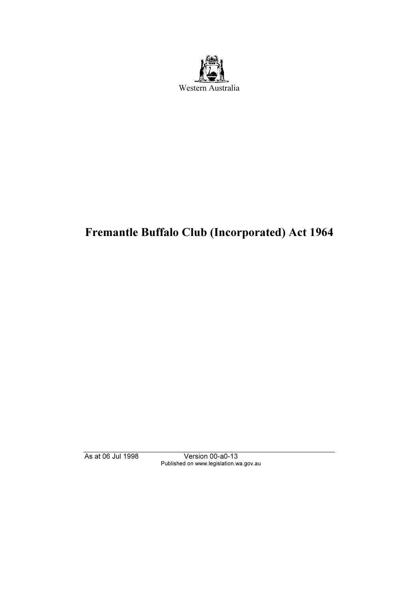

# Fremantle Buffalo Club (Incorporated) Act 1964

As at 06 Jul 1998 Version 00-a0-13 Published on www.legislation.wa.gov.au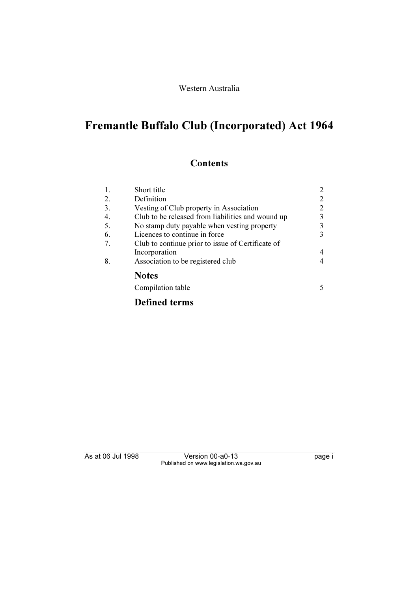#### Western Australia

# Fremantle Buffalo Club (Incorporated) Act 1964

### **Contents**

| 1. | Short title                                       | 2  |
|----|---------------------------------------------------|----|
| 2. | Definition                                        | 2  |
| 3. | Vesting of Club property in Association           | 2  |
| 4. | Club to be released from liabilities and wound up | 3  |
| 5. | No stamp duty payable when vesting property       | 3  |
| 6. | Licences to continue in force                     | 3  |
| 7. | Club to continue prior to issue of Certificate of |    |
|    | Incorporation                                     | 4  |
| 8. | Association to be registered club                 |    |
|    | <b>Notes</b>                                      |    |
|    | Compilation table                                 | 5. |
|    | <b>Defined terms</b>                              |    |

As at 06 Jul 1998 Version 00-a0-13 Page i Published on www.legislation.wa.gov.au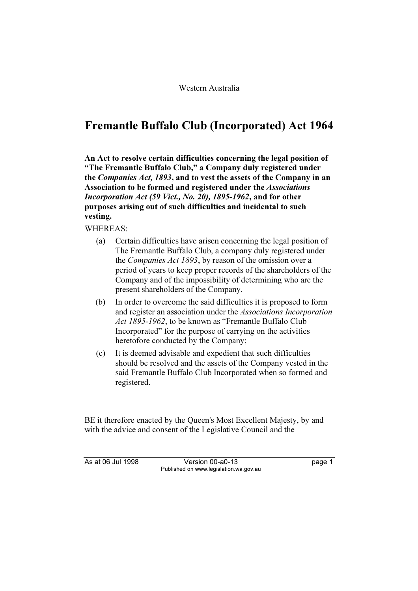## Fremantle Buffalo Club (Incorporated) Act 1964

An Act to resolve certain difficulties concerning the legal position of "The Fremantle Buffalo Club," a Company duly registered under the Companies Act, 1893, and to vest the assets of the Company in an Association to be formed and registered under the Associations Incorporation Act (59 Vict., No. 20), 1895-1962, and for other purposes arising out of such difficulties and incidental to such vesting.

WHEREAS:

- (a) Certain difficulties have arisen concerning the legal position of The Fremantle Buffalo Club, a company duly registered under the Companies Act 1893, by reason of the omission over a period of years to keep proper records of the shareholders of the Company and of the impossibility of determining who are the present shareholders of the Company.
- (b) In order to overcome the said difficulties it is proposed to form and register an association under the Associations Incorporation Act 1895-1962, to be known as "Fremantle Buffalo Club" Incorporated" for the purpose of carrying on the activities heretofore conducted by the Company;
- (c) It is deemed advisable and expedient that such difficulties should be resolved and the assets of the Company vested in the said Fremantle Buffalo Club Incorporated when so formed and registered.

BE it therefore enacted by the Queen's Most Excellent Majesty, by and with the advice and consent of the Legislative Council and the

As at 06 Jul 1998 Version 00-a0-13 Page 1 Published on www.legislation.wa.gov.au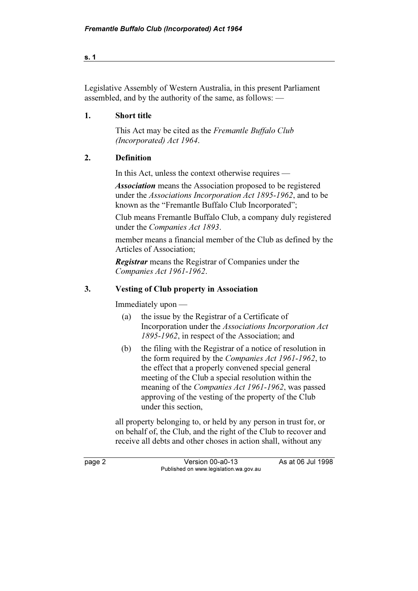s. 1

Legislative Assembly of Western Australia, in this present Parliament assembled, and by the authority of the same, as follows: —

### 1. Short title

This Act may be cited as the Fremantle Buffalo Club (Incorporated) Act 1964.

#### 2. Definition

In this Act, unless the context otherwise requires —

Association means the Association proposed to be registered under the Associations Incorporation Act 1895-1962, and to be known as the "Fremantle Buffalo Club Incorporated";

Club means Fremantle Buffalo Club, a company duly registered under the Companies Act 1893.

member means a financial member of the Club as defined by the Articles of Association;

**Registrar** means the Registrar of Companies under the Companies Act 1961-1962.

#### 3. Vesting of Club property in Association

Immediately upon —

- (a) the issue by the Registrar of a Certificate of Incorporation under the Associations Incorporation Act 1895-1962, in respect of the Association; and
- (b) the filing with the Registrar of a notice of resolution in the form required by the Companies Act 1961-1962, to the effect that a properly convened special general meeting of the Club a special resolution within the meaning of the Companies Act 1961-1962, was passed approving of the vesting of the property of the Club under this section,

 all property belonging to, or held by any person in trust for, or on behalf of, the Club, and the right of the Club to recover and receive all debts and other choses in action shall, without any

page 2 Version 00-a0-13 As at 06 Jul 1998 Published on www.legislation.wa.gov.au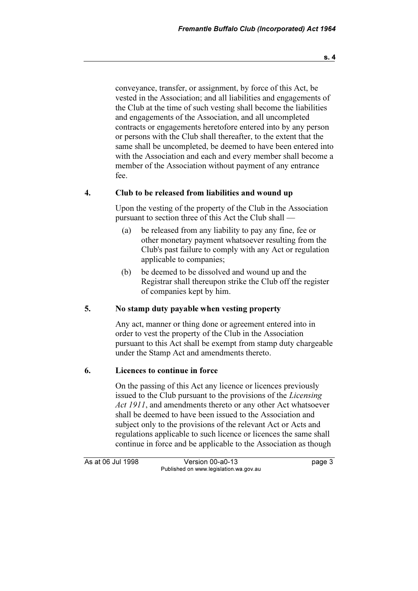s. 4

conveyance, transfer, or assignment, by force of this Act, be vested in the Association; and all liabilities and engagements of the Club at the time of such vesting shall become the liabilities and engagements of the Association, and all uncompleted contracts or engagements heretofore entered into by any person or persons with the Club shall thereafter, to the extent that the same shall be uncompleted, be deemed to have been entered into with the Association and each and every member shall become a member of the Association without payment of any entrance fee.

#### 4. Club to be released from liabilities and wound up

 Upon the vesting of the property of the Club in the Association pursuant to section three of this Act the Club shall —

- (a) be released from any liability to pay any fine, fee or other monetary payment whatsoever resulting from the Club's past failure to comply with any Act or regulation applicable to companies;
- (b) be deemed to be dissolved and wound up and the Registrar shall thereupon strike the Club off the register of companies kept by him.

#### 5. No stamp duty payable when vesting property

 Any act, manner or thing done or agreement entered into in order to vest the property of the Club in the Association pursuant to this Act shall be exempt from stamp duty chargeable under the Stamp Act and amendments thereto.

#### 6. Licences to continue in force

 On the passing of this Act any licence or licences previously issued to the Club pursuant to the provisions of the Licensing Act 1911, and amendments thereto or any other Act whatsoever shall be deemed to have been issued to the Association and subject only to the provisions of the relevant Act or Acts and regulations applicable to such licence or licences the same shall continue in force and be applicable to the Association as though

As at 06 Jul 1998 Version 00-a0-13 Page 3 Published on www.legislation.wa.gov.au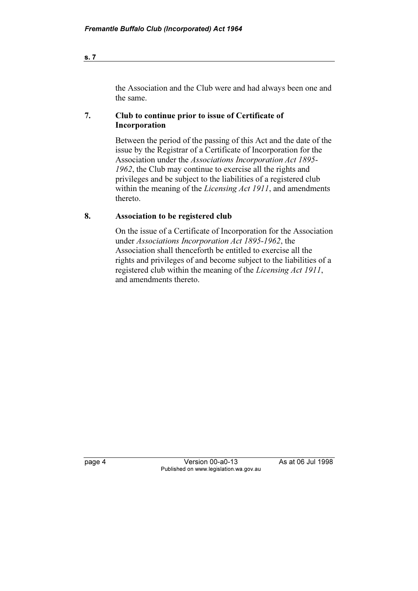the Association and the Club were and had always been one and the same.

#### 7. Club to continue prior to issue of Certificate of Incorporation

 Between the period of the passing of this Act and the date of the issue by the Registrar of a Certificate of Incorporation for the Association under the Associations Incorporation Act 1895- 1962, the Club may continue to exercise all the rights and privileges and be subject to the liabilities of a registered club within the meaning of the *Licensing Act 1911*, and amendments thereto.

#### 8. Association to be registered club

 On the issue of a Certificate of Incorporation for the Association under Associations Incorporation Act 1895-1962, the Association shall thenceforth be entitled to exercise all the rights and privileges of and become subject to the liabilities of a registered club within the meaning of the Licensing Act 1911, and amendments thereto.

page 4 Version 00-a0-13 As at 06 Jul 1998 Published on www.legislation.wa.gov.au

s. 7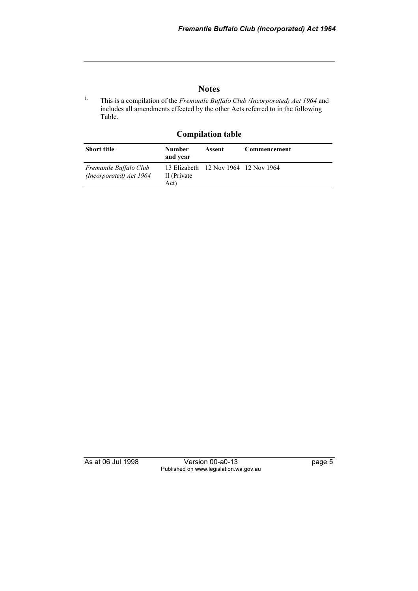#### **Notes**

<sup>1.</sup> This is a compilation of the *Fremantle Buffalo Club (Incorporated) Act 1964* and includes all amendments effected by the other Acts referred to in the following Table.

#### Compilation table

| <b>Short title</b>                                | <b>Number</b><br>and year | Assent                               | Commencement |
|---------------------------------------------------|---------------------------|--------------------------------------|--------------|
| Fremantle Buffalo Club<br>(Incorporated) Act 1964 | II (Private)<br>Act)      | 13 Elizabeth 12 Nov 1964 12 Nov 1964 |              |

As at 06 Jul 1998 Version 00-a0-13 page 5 Published on www.legislation.wa.gov.au